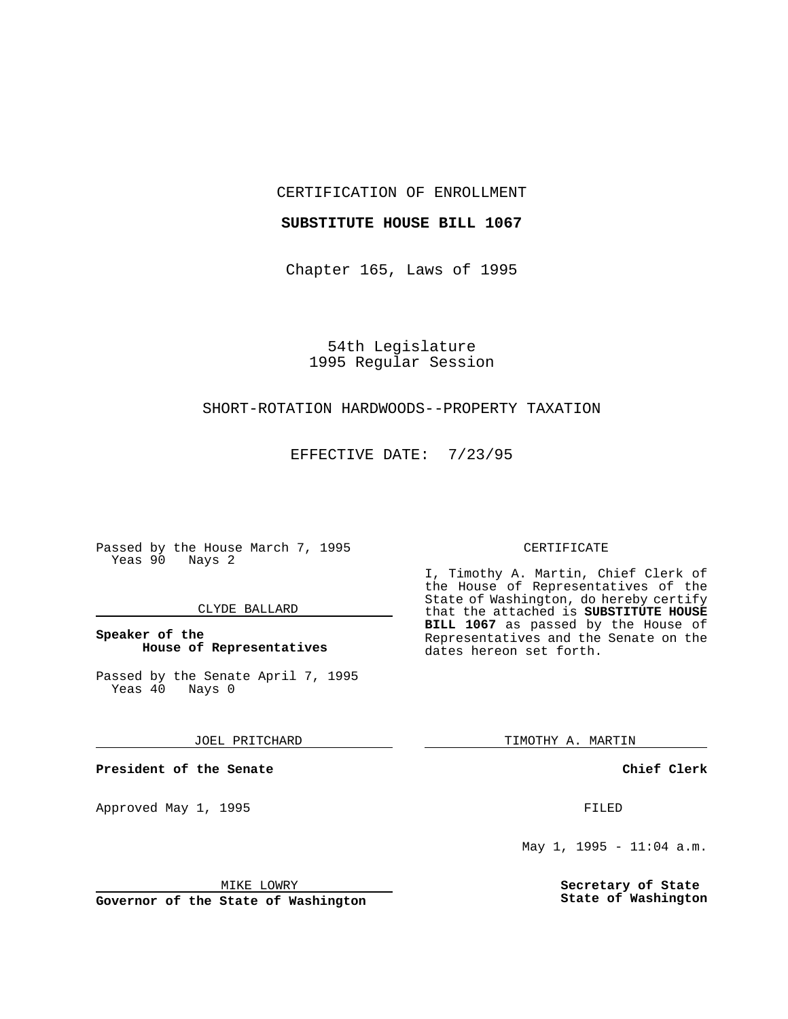CERTIFICATION OF ENROLLMENT

### **SUBSTITUTE HOUSE BILL 1067**

Chapter 165, Laws of 1995

54th Legislature 1995 Regular Session

# SHORT-ROTATION HARDWOODS--PROPERTY TAXATION

EFFECTIVE DATE: 7/23/95

Passed by the House March 7, 1995 Yeas 90 Nays 2

#### CLYDE BALLARD

## **Speaker of the House of Representatives**

Passed by the Senate April 7, 1995<br>Yeas 40 Nays 0  $Yeas$  40

JOEL PRITCHARD

**President of the Senate**

Approved May 1, 1995 **FILED** 

### MIKE LOWRY

**Governor of the State of Washington**

#### CERTIFICATE

I, Timothy A. Martin, Chief Clerk of the House of Representatives of the State of Washington, do hereby certify that the attached is **SUBSTITUTE HOUSE BILL 1067** as passed by the House of Representatives and the Senate on the dates hereon set forth.

TIMOTHY A. MARTIN

**Chief Clerk**

May 1, 1995 - 11:04 a.m.

**Secretary of State State of Washington**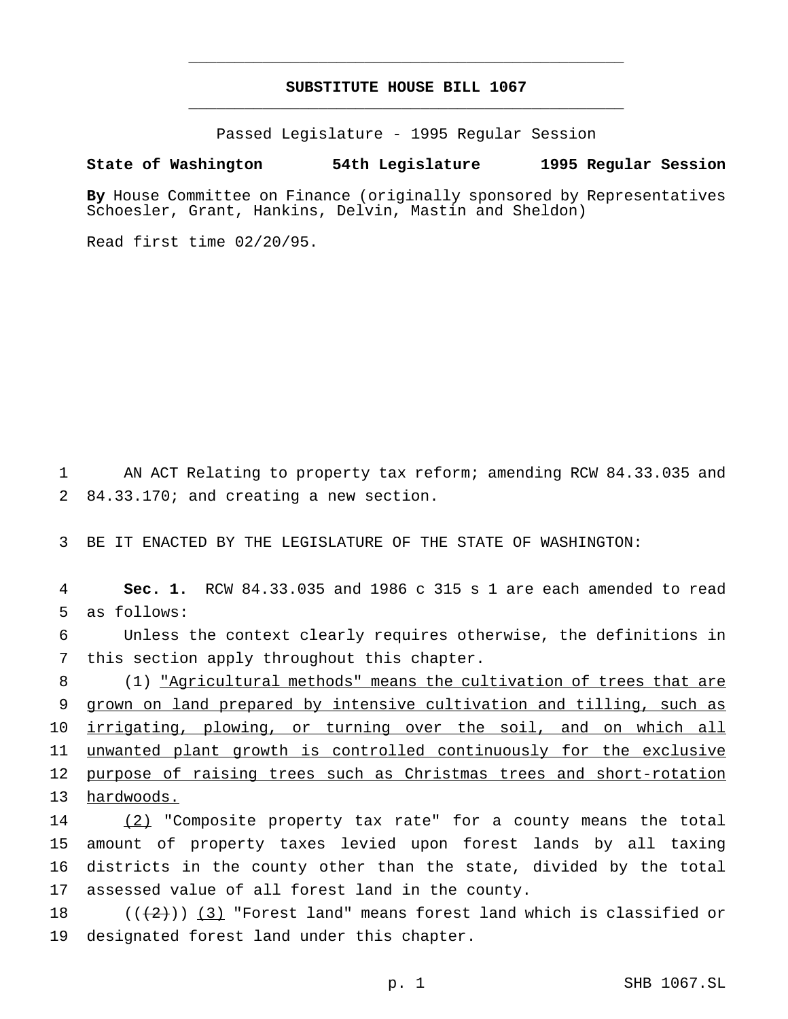# **SUBSTITUTE HOUSE BILL 1067** \_\_\_\_\_\_\_\_\_\_\_\_\_\_\_\_\_\_\_\_\_\_\_\_\_\_\_\_\_\_\_\_\_\_\_\_\_\_\_\_\_\_\_\_\_\_\_

\_\_\_\_\_\_\_\_\_\_\_\_\_\_\_\_\_\_\_\_\_\_\_\_\_\_\_\_\_\_\_\_\_\_\_\_\_\_\_\_\_\_\_\_\_\_\_

Passed Legislature - 1995 Regular Session

#### **State of Washington 54th Legislature 1995 Regular Session**

**By** House Committee on Finance (originally sponsored by Representatives Schoesler, Grant, Hankins, Delvin, Mastin and Sheldon)

Read first time 02/20/95.

1 AN ACT Relating to property tax reform; amending RCW 84.33.035 and 2 84.33.170; and creating a new section.

3 BE IT ENACTED BY THE LEGISLATURE OF THE STATE OF WASHINGTON:

4 **Sec. 1.** RCW 84.33.035 and 1986 c 315 s 1 are each amended to read 5 as follows:

6 Unless the context clearly requires otherwise, the definitions in 7 this section apply throughout this chapter.

 (1) "Agricultural methods" means the cultivation of trees that are grown on land prepared by intensive cultivation and tilling, such as 10 irrigating, plowing, or turning over the soil, and on which all unwanted plant growth is controlled continuously for the exclusive purpose of raising trees such as Christmas trees and short-rotation hardwoods.

14 (2) "Composite property tax rate" for a county means the total amount of property taxes levied upon forest lands by all taxing districts in the county other than the state, divided by the total assessed value of all forest land in the county.

18  $((2))$   $(3)$  "Forest land" means forest land which is classified or 19 designated forest land under this chapter.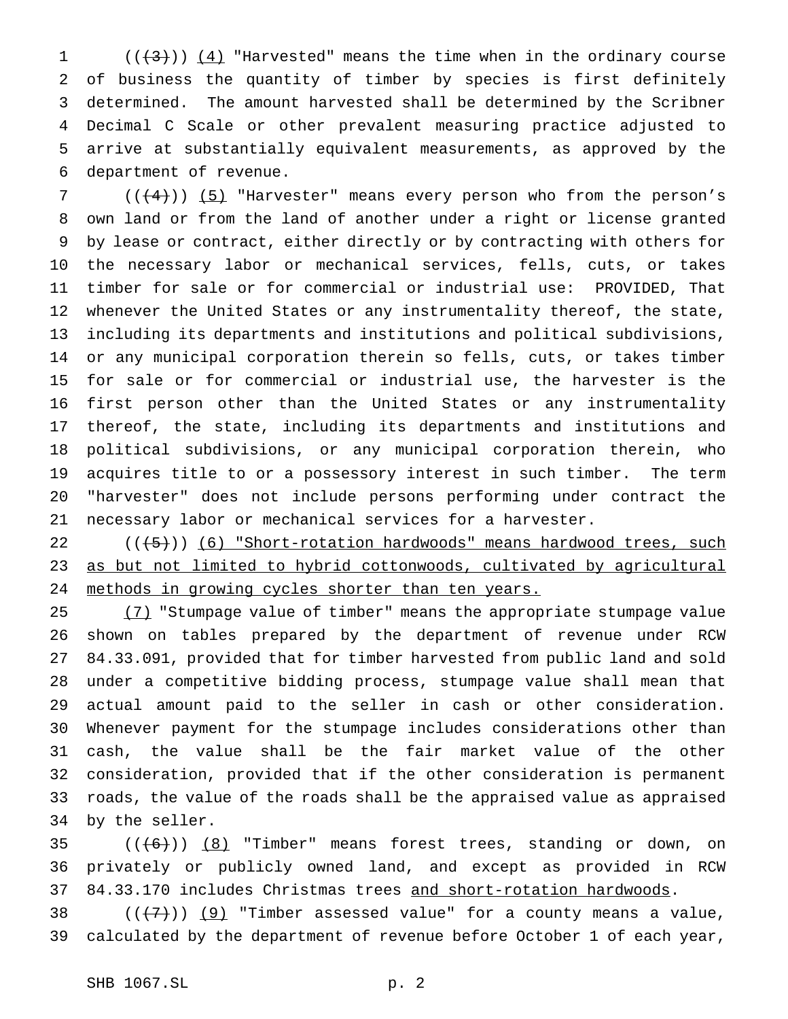$((+3))$   $(4)$  "Harvested" means the time when in the ordinary course of business the quantity of timber by species is first definitely determined. The amount harvested shall be determined by the Scribner Decimal C Scale or other prevalent measuring practice adjusted to arrive at substantially equivalent measurements, as approved by the department of revenue.

 ( $(\frac{4}{1})$ ) (5) "Harvester" means every person who from the person's own land or from the land of another under a right or license granted by lease or contract, either directly or by contracting with others for the necessary labor or mechanical services, fells, cuts, or takes timber for sale or for commercial or industrial use: PROVIDED, That whenever the United States or any instrumentality thereof, the state, including its departments and institutions and political subdivisions, or any municipal corporation therein so fells, cuts, or takes timber for sale or for commercial or industrial use, the harvester is the first person other than the United States or any instrumentality thereof, the state, including its departments and institutions and political subdivisions, or any municipal corporation therein, who acquires title to or a possessory interest in such timber. The term "harvester" does not include persons performing under contract the necessary labor or mechanical services for a harvester.

 ( $(\frac{+5}{})$ ) (6) "Short-rotation hardwoods" means hardwood trees, such as but not limited to hybrid cottonwoods, cultivated by agricultural methods in growing cycles shorter than ten years.

25 (7) "Stumpage value of timber" means the appropriate stumpage value shown on tables prepared by the department of revenue under RCW 84.33.091, provided that for timber harvested from public land and sold under a competitive bidding process, stumpage value shall mean that actual amount paid to the seller in cash or other consideration. Whenever payment for the stumpage includes considerations other than cash, the value shall be the fair market value of the other consideration, provided that if the other consideration is permanent roads, the value of the roads shall be the appraised value as appraised by the seller.

35  $((+6))$   $(8)$  "Timber" means forest trees, standing or down, on privately or publicly owned land, and except as provided in RCW 37 84.33.170 includes Christmas trees and short-rotation hardwoods.

38 ( $(\overline{+7})$ ) (9) "Timber assessed value" for a county means a value, calculated by the department of revenue before October 1 of each year,